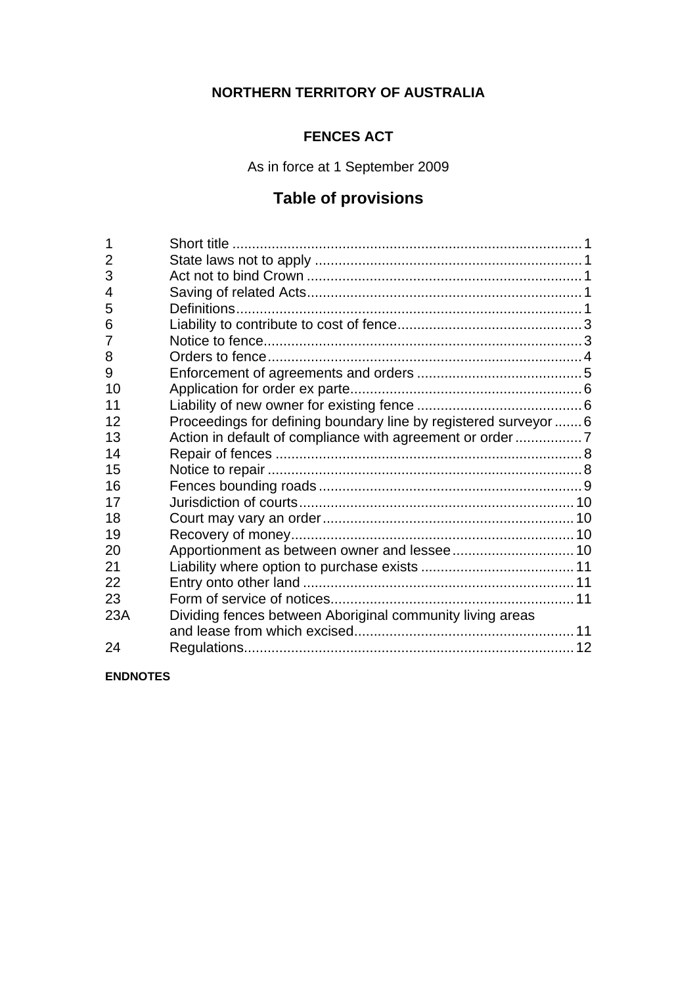# **NORTHERN TERRITORY OF AUSTRALIA**

## **FENCES ACT**

As in force at 1 September 2009

# **Table of provisions**

| Dividing fences between Aboriginal community living areas |                                                                                                                              |
|-----------------------------------------------------------|------------------------------------------------------------------------------------------------------------------------------|
|                                                           |                                                                                                                              |
|                                                           |                                                                                                                              |
|                                                           | Proceedings for defining boundary line by registered surveyor  6<br>Action in default of compliance with agreement or order7 |

**ENDNOTES**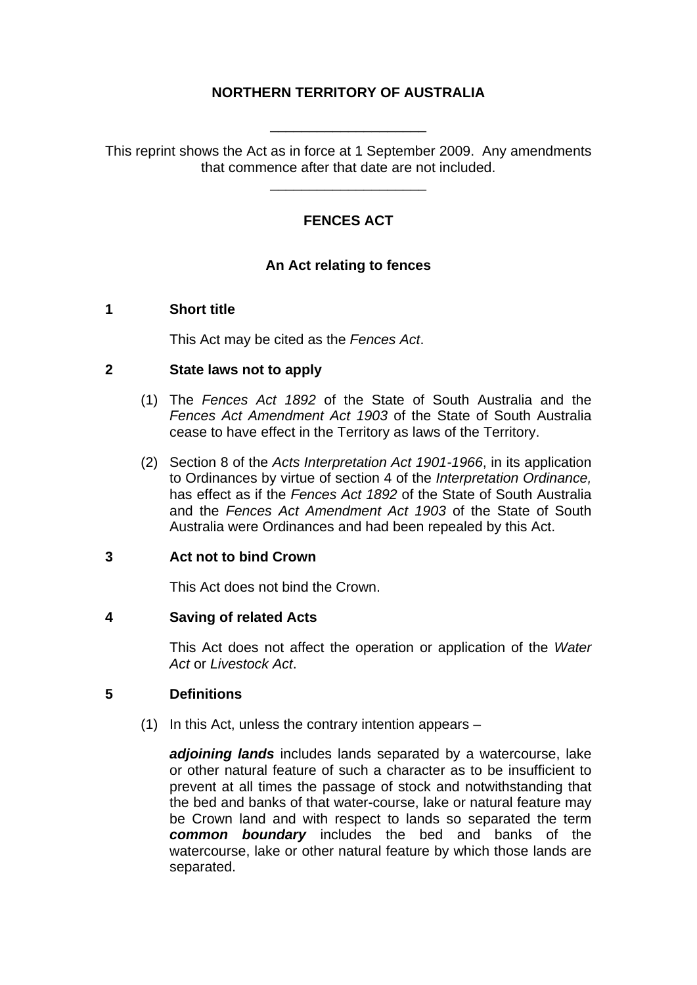### **NORTHERN TERRITORY OF AUSTRALIA**

This reprint shows the Act as in force at 1 September 2009. Any amendments that commence after that date are not included.

\_\_\_\_\_\_\_\_\_\_\_\_\_\_\_\_\_\_\_\_

\_\_\_\_\_\_\_\_\_\_\_\_\_\_\_\_\_\_\_\_

## **FENCES ACT**

### **An Act relating to fences**

#### <span id="page-1-0"></span>**1 Short title**

This Act may be cited as the *Fences Act*.

#### <span id="page-1-1"></span>**2 State laws not to apply**

- (1) The *Fences Act 1892* of the State of South Australia and the *Fences Act Amendment Act 1903* of the State of South Australia cease to have effect in the Territory as laws of the Territory.
- (2) Section 8 of the *Acts Interpretation Act 1901-1966*, in its application to Ordinances by virtue of section 4 of the *Interpretation Ordinance,*  has effect as if the *Fences Act 1892* of the State of South Australia and the *Fences Act Amendment Act 1903* of the State of South Australia were Ordinances and had been repealed by this Act.

#### <span id="page-1-2"></span>**3 Act not to bind Crown**

This Act does not bind the Crown.

#### <span id="page-1-3"></span>**4 Saving of related Acts**

This Act does not affect the operation or application of the *Water Act* or *Livestock Act*.

#### <span id="page-1-4"></span>**5 Definitions**

(1) In this Act, unless the contrary intention appears –

*adjoining lands* includes lands separated by a watercourse, lake or other natural feature of such a character as to be insufficient to prevent at all times the passage of stock and notwithstanding that the bed and banks of that water-course, lake or natural feature may be Crown land and with respect to lands so separated the term *common boundary* includes the bed and banks of the watercourse, lake or other natural feature by which those lands are separated.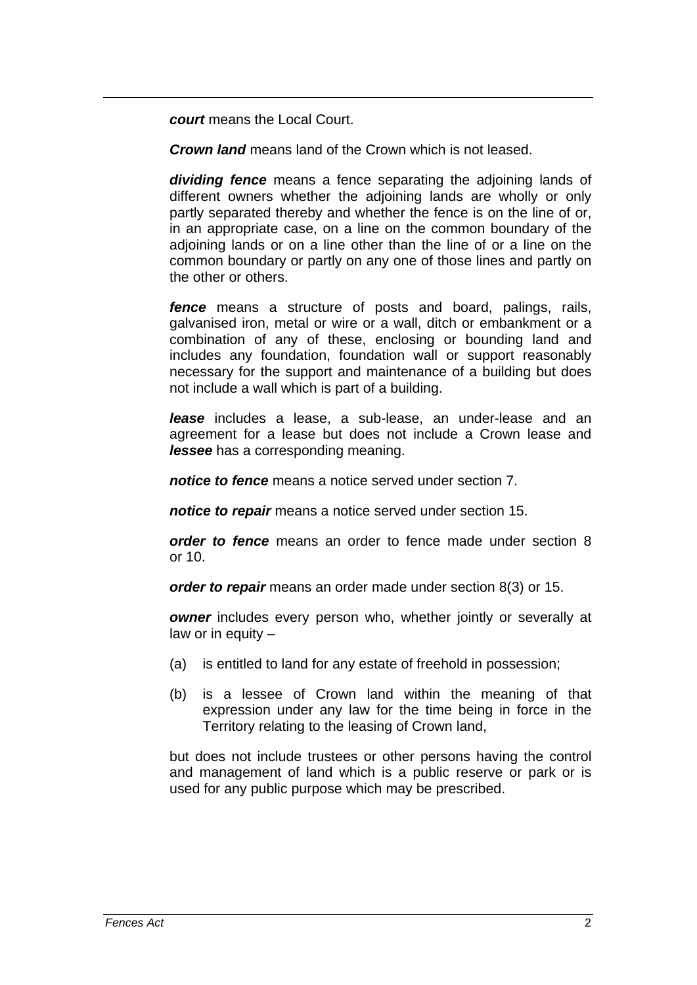*court* means the Local Court.

*Crown land* means land of the Crown which is not leased.

*dividing fence* means a fence separating the adjoining lands of different owners whether the adjoining lands are wholly or only partly separated thereby and whether the fence is on the line of or, in an appropriate case, on a line on the common boundary of the adjoining lands or on a line other than the line of or a line on the common boundary or partly on any one of those lines and partly on the other or others.

*fence* means a structure of posts and board, palings, rails, galvanised iron, metal or wire or a wall, ditch or embankment or a combination of any of these, enclosing or bounding land and includes any foundation, foundation wall or support reasonably necessary for the support and maintenance of a building but does not include a wall which is part of a building.

*lease* includes a lease, a sub-lease, an under-lease and an agreement for a lease but does not include a Crown lease and *lessee* has a corresponding meaning.

*notice to fence* means a notice served under section 7.

*notice to repair* means a notice served under section 15.

*order to fence* means an order to fence made under section 8 or 10.

*order to repair* means an order made under section 8(3) or 15.

*owner* includes every person who, whether jointly or severally at law or in equity –

- (a) is entitled to land for any estate of freehold in possession;
- (b) is a lessee of Crown land within the meaning of that expression under any law for the time being in force in the Territory relating to the leasing of Crown land,

but does not include trustees or other persons having the control and management of land which is a public reserve or park or is used for any public purpose which may be prescribed.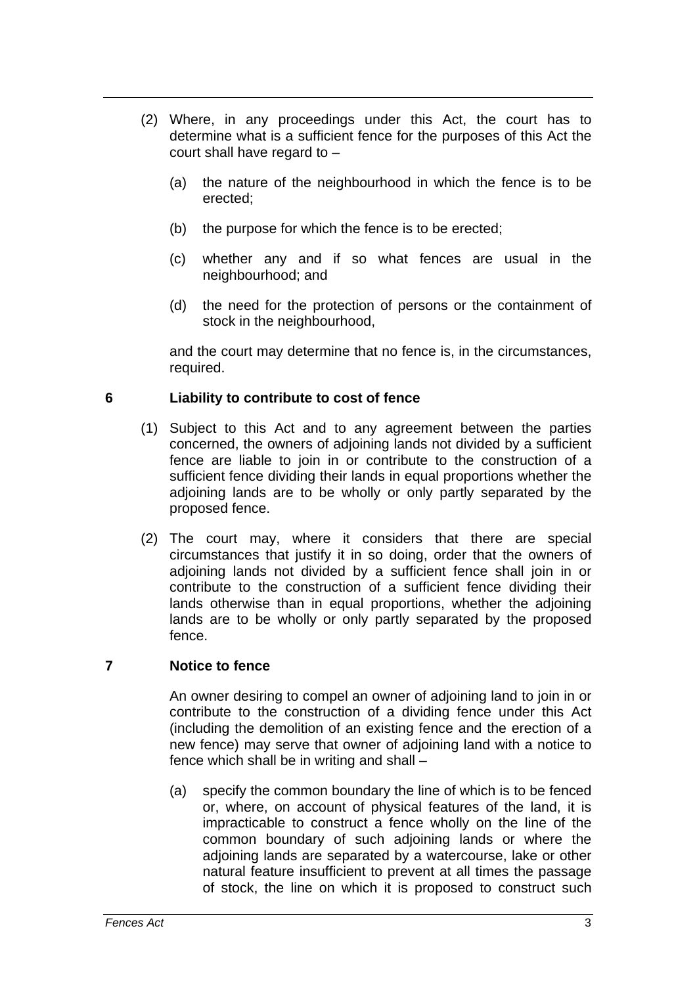- (2) Where, in any proceedings under this Act, the court has to determine what is a sufficient fence for the purposes of this Act the court shall have regard to –
	- (a) the nature of the neighbourhood in which the fence is to be erected;
	- (b) the purpose for which the fence is to be erected;
	- (c) whether any and if so what fences are usual in the neighbourhood; and
	- (d) the need for the protection of persons or the containment of stock in the neighbourhood,

and the court may determine that no fence is, in the circumstances, required.

### <span id="page-3-0"></span>**6 Liability to contribute to cost of fence**

- (1) Subject to this Act and to any agreement between the parties concerned, the owners of adjoining lands not divided by a sufficient fence are liable to join in or contribute to the construction of a sufficient fence dividing their lands in equal proportions whether the adjoining lands are to be wholly or only partly separated by the proposed fence.
- (2) The court may, where it considers that there are special circumstances that justify it in so doing, order that the owners of adjoining lands not divided by a sufficient fence shall join in or contribute to the construction of a sufficient fence dividing their lands otherwise than in equal proportions, whether the adjoining lands are to be wholly or only partly separated by the proposed fence.

#### <span id="page-3-1"></span>**7 Notice to fence**

An owner desiring to compel an owner of adjoining land to join in or contribute to the construction of a dividing fence under this Act (including the demolition of an existing fence and the erection of a new fence) may serve that owner of adjoining land with a notice to fence which shall be in writing and shall –

(a) specify the common boundary the line of which is to be fenced or, where, on account of physical features of the land, it is impracticable to construct a fence wholly on the line of the common boundary of such adjoining lands or where the adjoining lands are separated by a watercourse, lake or other natural feature insufficient to prevent at all times the passage of stock, the line on which it is proposed to construct such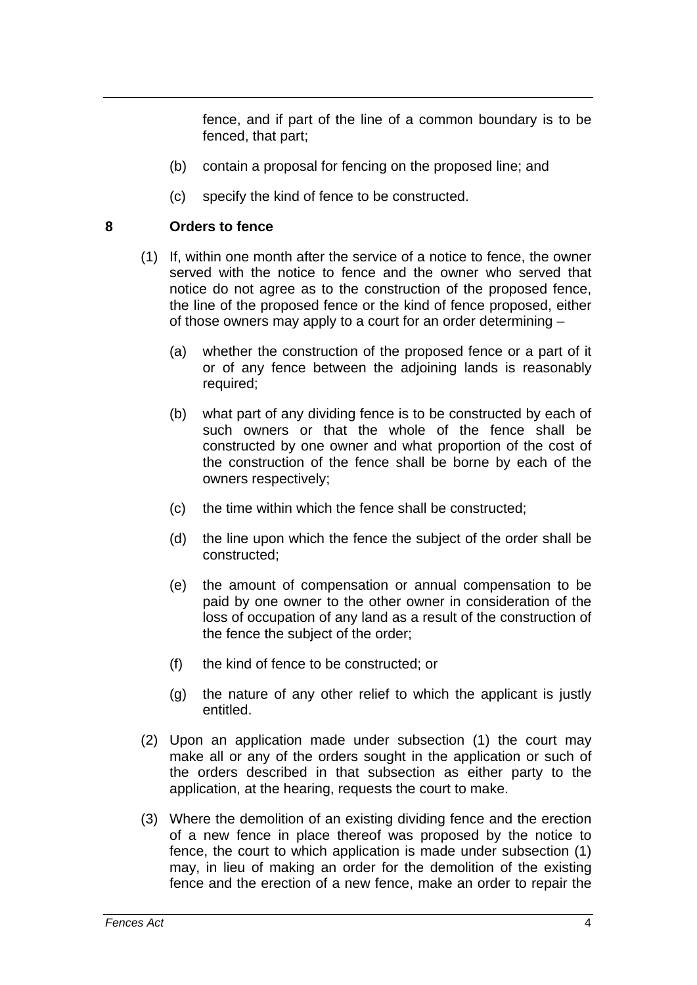fence, and if part of the line of a common boundary is to be fenced, that part;

- (b) contain a proposal for fencing on the proposed line; and
- (c) specify the kind of fence to be constructed.

### <span id="page-4-0"></span>**8 Orders to fence**

- (1) If, within one month after the service of a notice to fence, the owner served with the notice to fence and the owner who served that notice do not agree as to the construction of the proposed fence, the line of the proposed fence or the kind of fence proposed, either of those owners may apply to a court for an order determining –
	- (a) whether the construction of the proposed fence or a part of it or of any fence between the adjoining lands is reasonably required;
	- (b) what part of any dividing fence is to be constructed by each of such owners or that the whole of the fence shall be constructed by one owner and what proportion of the cost of the construction of the fence shall be borne by each of the owners respectively;
	- (c) the time within which the fence shall be constructed;
	- (d) the line upon which the fence the subject of the order shall be constructed;
	- (e) the amount of compensation or annual compensation to be paid by one owner to the other owner in consideration of the loss of occupation of any land as a result of the construction of the fence the subject of the order;
	- (f) the kind of fence to be constructed; or
	- (g) the nature of any other relief to which the applicant is justly entitled.
- (2) Upon an application made under subsection (1) the court may make all or any of the orders sought in the application or such of the orders described in that subsection as either party to the application, at the hearing, requests the court to make.
- (3) Where the demolition of an existing dividing fence and the erection of a new fence in place thereof was proposed by the notice to fence, the court to which application is made under subsection (1) may, in lieu of making an order for the demolition of the existing fence and the erection of a new fence, make an order to repair the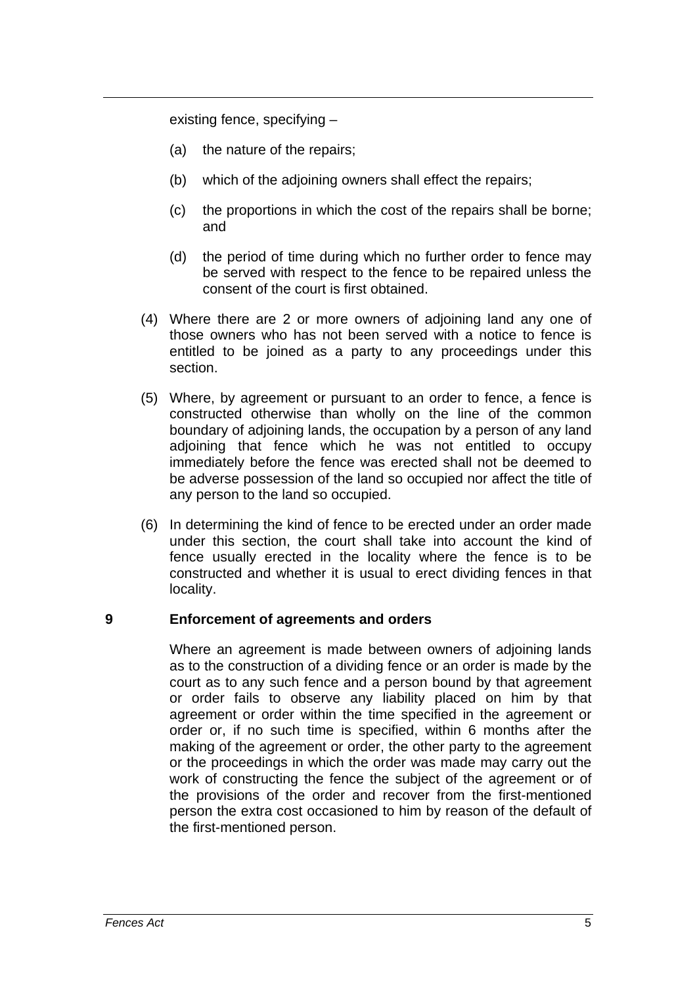existing fence, specifying –

- (a) the nature of the repairs;
- (b) which of the adjoining owners shall effect the repairs;
- (c) the proportions in which the cost of the repairs shall be borne; and
- (d) the period of time during which no further order to fence may be served with respect to the fence to be repaired unless the consent of the court is first obtained.
- (4) Where there are 2 or more owners of adjoining land any one of those owners who has not been served with a notice to fence is entitled to be joined as a party to any proceedings under this section.
- (5) Where, by agreement or pursuant to an order to fence, a fence is constructed otherwise than wholly on the line of the common boundary of adjoining lands, the occupation by a person of any land adjoining that fence which he was not entitled to occupy immediately before the fence was erected shall not be deemed to be adverse possession of the land so occupied nor affect the title of any person to the land so occupied.
- (6) In determining the kind of fence to be erected under an order made under this section, the court shall take into account the kind of fence usually erected in the locality where the fence is to be constructed and whether it is usual to erect dividing fences in that locality.

#### <span id="page-5-0"></span>**9 Enforcement of agreements and orders**

Where an agreement is made between owners of adjoining lands as to the construction of a dividing fence or an order is made by the court as to any such fence and a person bound by that agreement or order fails to observe any liability placed on him by that agreement or order within the time specified in the agreement or order or, if no such time is specified, within 6 months after the making of the agreement or order, the other party to the agreement or the proceedings in which the order was made may carry out the work of constructing the fence the subject of the agreement or of the provisions of the order and recover from the first-mentioned person the extra cost occasioned to him by reason of the default of the first-mentioned person.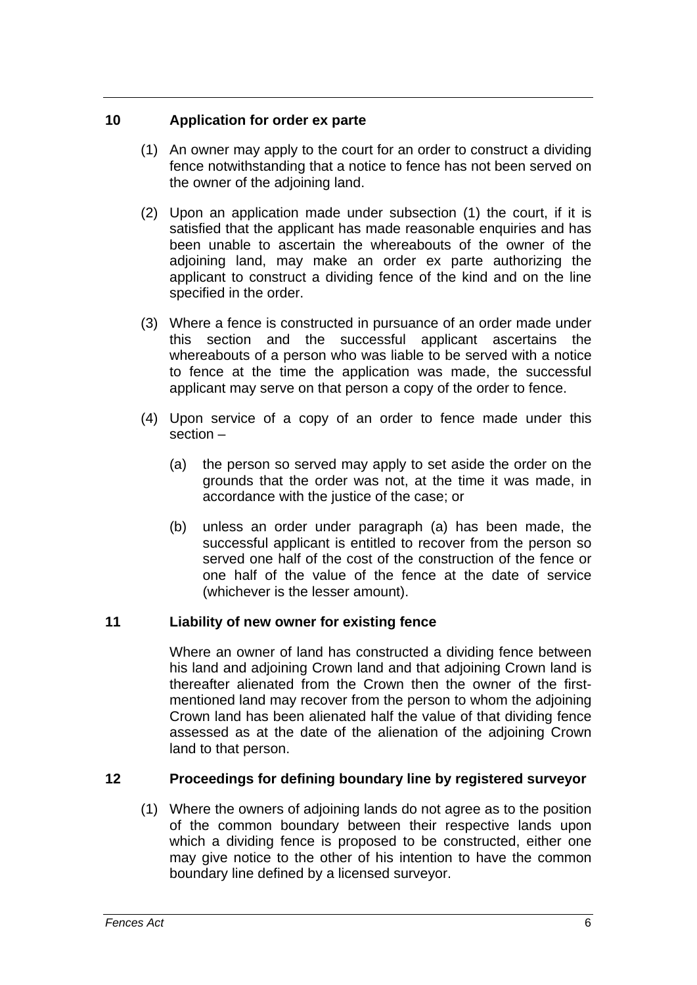### <span id="page-6-0"></span>**10 Application for order ex parte**

- (1) An owner may apply to the court for an order to construct a dividing fence notwithstanding that a notice to fence has not been served on the owner of the adjoining land.
- (2) Upon an application made under subsection (1) the court, if it is satisfied that the applicant has made reasonable enquiries and has been unable to ascertain the whereabouts of the owner of the adjoining land, may make an order ex parte authorizing the applicant to construct a dividing fence of the kind and on the line specified in the order.
- (3) Where a fence is constructed in pursuance of an order made under this section and the successful applicant ascertains the whereabouts of a person who was liable to be served with a notice to fence at the time the application was made, the successful applicant may serve on that person a copy of the order to fence.
- (4) Upon service of a copy of an order to fence made under this section –
	- (a) the person so served may apply to set aside the order on the grounds that the order was not, at the time it was made, in accordance with the justice of the case; or
	- (b) unless an order under paragraph (a) has been made, the successful applicant is entitled to recover from the person so served one half of the cost of the construction of the fence or one half of the value of the fence at the date of service (whichever is the lesser amount).

### <span id="page-6-1"></span>**11 Liability of new owner for existing fence**

Where an owner of land has constructed a dividing fence between his land and adjoining Crown land and that adjoining Crown land is thereafter alienated from the Crown then the owner of the firstmentioned land may recover from the person to whom the adjoining Crown land has been alienated half the value of that dividing fence assessed as at the date of the alienation of the adjoining Crown land to that person.

### <span id="page-6-2"></span>**12 Proceedings for defining boundary line by registered surveyor**

 (1) Where the owners of adjoining lands do not agree as to the position of the common boundary between their respective lands upon which a dividing fence is proposed to be constructed, either one may give notice to the other of his intention to have the common boundary line defined by a licensed surveyor.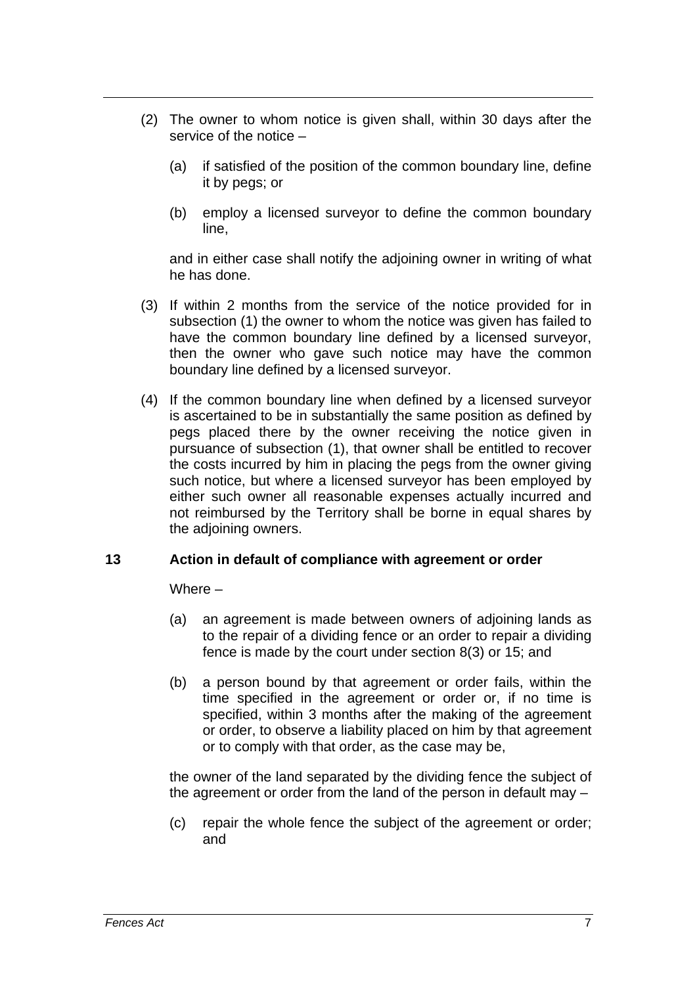- (2) The owner to whom notice is given shall, within 30 days after the service of the notice –
	- (a) if satisfied of the position of the common boundary line, define it by pegs; or
	- (b) employ a licensed surveyor to define the common boundary line,

and in either case shall notify the adjoining owner in writing of what he has done.

- (3) If within 2 months from the service of the notice provided for in subsection (1) the owner to whom the notice was given has failed to have the common boundary line defined by a licensed surveyor, then the owner who gave such notice may have the common boundary line defined by a licensed surveyor.
- (4) If the common boundary line when defined by a licensed surveyor is ascertained to be in substantially the same position as defined by pegs placed there by the owner receiving the notice given in pursuance of subsection (1), that owner shall be entitled to recover the costs incurred by him in placing the pegs from the owner giving such notice, but where a licensed surveyor has been employed by either such owner all reasonable expenses actually incurred and not reimbursed by the Territory shall be borne in equal shares by the adjoining owners.

#### <span id="page-7-0"></span>**13 Action in default of compliance with agreement or order**

Where –

- (a) an agreement is made between owners of adjoining lands as to the repair of a dividing fence or an order to repair a dividing fence is made by the court under section 8(3) or 15; and
- (b) a person bound by that agreement or order fails, within the time specified in the agreement or order or, if no time is specified, within 3 months after the making of the agreement or order, to observe a liability placed on him by that agreement or to comply with that order, as the case may be,

the owner of the land separated by the dividing fence the subject of the agreement or order from the land of the person in default may –

(c) repair the whole fence the subject of the agreement or order; and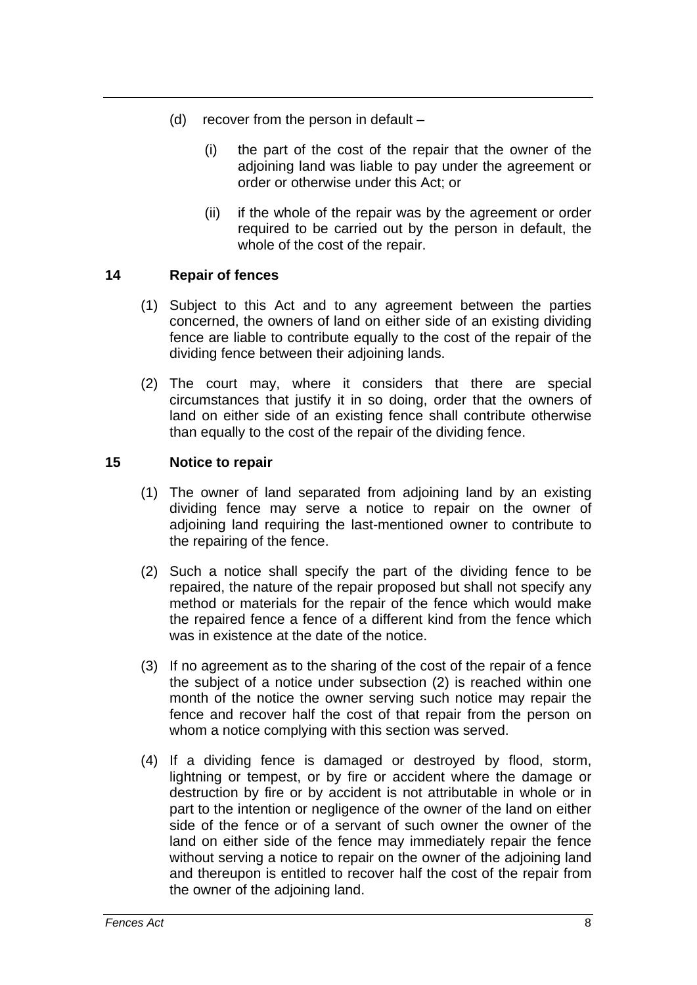- (d) recover from the person in default
	- (i) the part of the cost of the repair that the owner of the adjoining land was liable to pay under the agreement or order or otherwise under this Act; or
	- (ii) if the whole of the repair was by the agreement or order required to be carried out by the person in default, the whole of the cost of the repair.

### <span id="page-8-0"></span>**14 Repair of fences**

- (1) Subject to this Act and to any agreement between the parties concerned, the owners of land on either side of an existing dividing fence are liable to contribute equally to the cost of the repair of the dividing fence between their adjoining lands.
- (2) The court may, where it considers that there are special circumstances that justify it in so doing, order that the owners of land on either side of an existing fence shall contribute otherwise than equally to the cost of the repair of the dividing fence.

### <span id="page-8-1"></span>**15 Notice to repair**

- (1) The owner of land separated from adjoining land by an existing dividing fence may serve a notice to repair on the owner of adjoining land requiring the last-mentioned owner to contribute to the repairing of the fence.
- (2) Such a notice shall specify the part of the dividing fence to be repaired, the nature of the repair proposed but shall not specify any method or materials for the repair of the fence which would make the repaired fence a fence of a different kind from the fence which was in existence at the date of the notice.
- (3) If no agreement as to the sharing of the cost of the repair of a fence the subject of a notice under subsection (2) is reached within one month of the notice the owner serving such notice may repair the fence and recover half the cost of that repair from the person on whom a notice complying with this section was served.
- (4) If a dividing fence is damaged or destroyed by flood, storm, lightning or tempest, or by fire or accident where the damage or destruction by fire or by accident is not attributable in whole or in part to the intention or negligence of the owner of the land on either side of the fence or of a servant of such owner the owner of the land on either side of the fence may immediately repair the fence without serving a notice to repair on the owner of the adjoining land and thereupon is entitled to recover half the cost of the repair from the owner of the adjoining land.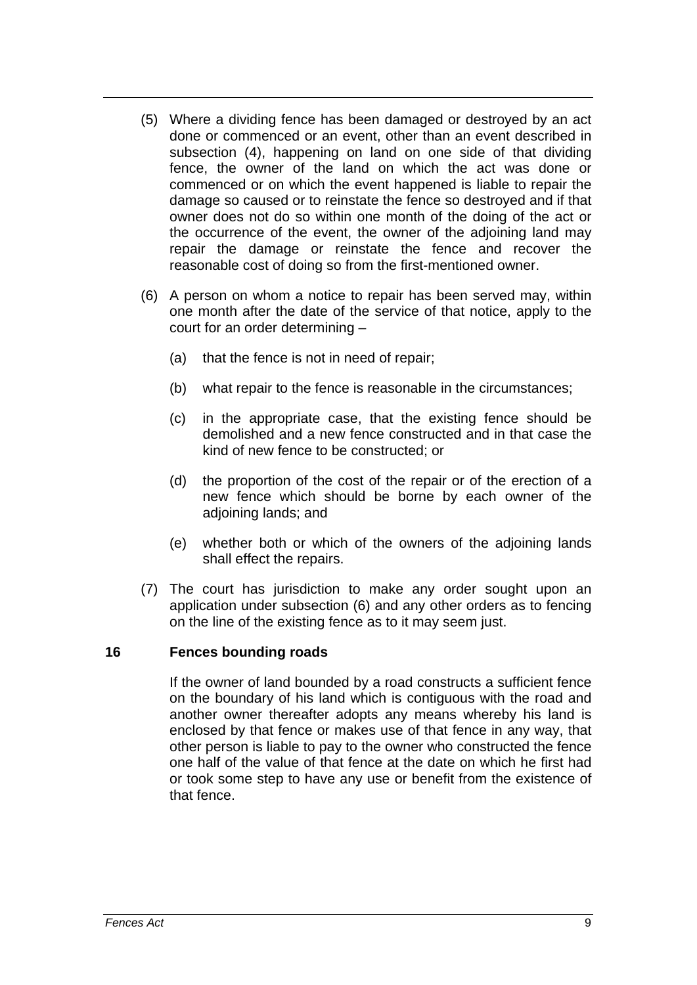- (5) Where a dividing fence has been damaged or destroyed by an act done or commenced or an event, other than an event described in subsection (4), happening on land on one side of that dividing fence, the owner of the land on which the act was done or commenced or on which the event happened is liable to repair the damage so caused or to reinstate the fence so destroyed and if that owner does not do so within one month of the doing of the act or the occurrence of the event, the owner of the adjoining land may repair the damage or reinstate the fence and recover the reasonable cost of doing so from the first-mentioned owner.
- (6) A person on whom a notice to repair has been served may, within one month after the date of the service of that notice, apply to the court for an order determining –
	- (a) that the fence is not in need of repair;
	- (b) what repair to the fence is reasonable in the circumstances;
	- (c) in the appropriate case, that the existing fence should be demolished and a new fence constructed and in that case the kind of new fence to be constructed; or
	- (d) the proportion of the cost of the repair or of the erection of a new fence which should be borne by each owner of the adjoining lands; and
	- (e) whether both or which of the owners of the adjoining lands shall effect the repairs.
- (7) The court has jurisdiction to make any order sought upon an application under subsection (6) and any other orders as to fencing on the line of the existing fence as to it may seem just.

#### <span id="page-9-0"></span>**16 Fences bounding roads**

If the owner of land bounded by a road constructs a sufficient fence on the boundary of his land which is contiguous with the road and another owner thereafter adopts any means whereby his land is enclosed by that fence or makes use of that fence in any way, that other person is liable to pay to the owner who constructed the fence one half of the value of that fence at the date on which he first had or took some step to have any use or benefit from the existence of that fence.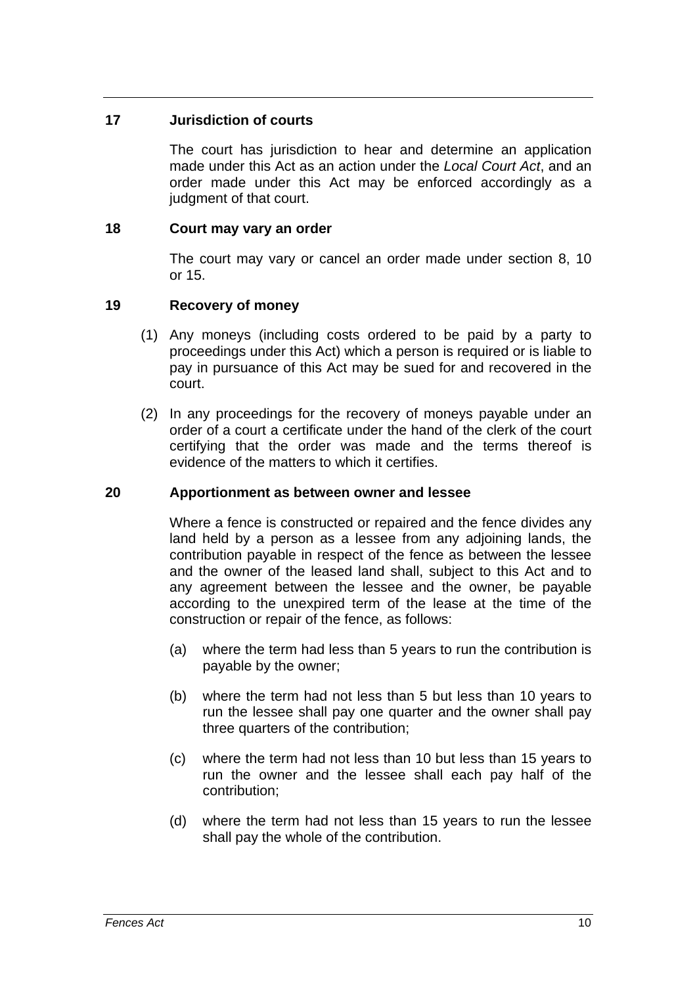### <span id="page-10-0"></span>**17 Jurisdiction of courts**

The court has jurisdiction to hear and determine an application made under this Act as an action under the *Local Court Act*, and an order made under this Act may be enforced accordingly as a judgment of that court.

### <span id="page-10-1"></span>**18 Court may vary an order**

The court may vary or cancel an order made under section 8, 10 or 15.

## <span id="page-10-2"></span>**19 Recovery of money**

- (1) Any moneys (including costs ordered to be paid by a party to proceedings under this Act) which a person is required or is liable to pay in pursuance of this Act may be sued for and recovered in the court.
- (2) In any proceedings for the recovery of moneys payable under an order of a court a certificate under the hand of the clerk of the court certifying that the order was made and the terms thereof is evidence of the matters to which it certifies.

## <span id="page-10-3"></span>**20 Apportionment as between owner and lessee**

Where a fence is constructed or repaired and the fence divides any land held by a person as a lessee from any adjoining lands, the contribution payable in respect of the fence as between the lessee and the owner of the leased land shall, subject to this Act and to any agreement between the lessee and the owner, be payable according to the unexpired term of the lease at the time of the construction or repair of the fence, as follows:

- (a) where the term had less than 5 years to run the contribution is payable by the owner;
- (b) where the term had not less than 5 but less than 10 years to run the lessee shall pay one quarter and the owner shall pay three quarters of the contribution;
- (c) where the term had not less than 10 but less than 15 years to run the owner and the lessee shall each pay half of the contribution;
- (d) where the term had not less than 15 years to run the lessee shall pay the whole of the contribution.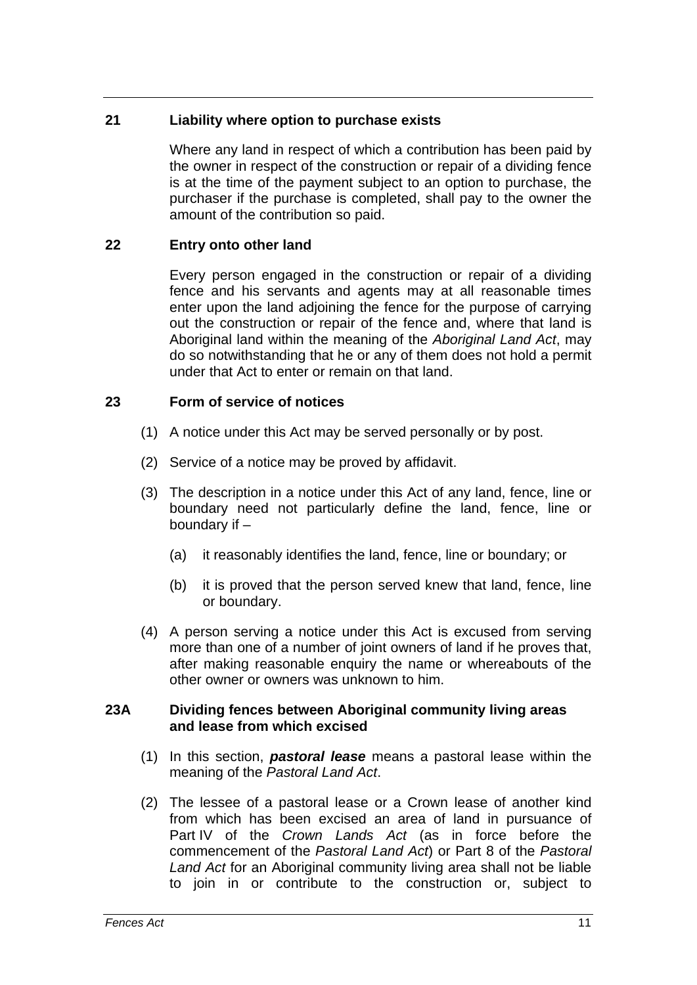### <span id="page-11-0"></span>**21 Liability where option to purchase exists**

Where any land in respect of which a contribution has been paid by the owner in respect of the construction or repair of a dividing fence is at the time of the payment subject to an option to purchase, the purchaser if the purchase is completed, shall pay to the owner the amount of the contribution so paid.

### <span id="page-11-1"></span>**22 Entry onto other land**

Every person engaged in the construction or repair of a dividing fence and his servants and agents may at all reasonable times enter upon the land adjoining the fence for the purpose of carrying out the construction or repair of the fence and, where that land is Aboriginal land within the meaning of the *Aboriginal Land Act*, may do so notwithstanding that he or any of them does not hold a permit under that Act to enter or remain on that land.

### <span id="page-11-2"></span>**23 Form of service of notices**

- (1) A notice under this Act may be served personally or by post.
- (2) Service of a notice may be proved by affidavit.
- (3) The description in a notice under this Act of any land, fence, line or boundary need not particularly define the land, fence, line or boundary if –
	- (a) it reasonably identifies the land, fence, line or boundary; or
	- (b) it is proved that the person served knew that land, fence, line or boundary.
- (4) A person serving a notice under this Act is excused from serving more than one of a number of joint owners of land if he proves that, after making reasonable enquiry the name or whereabouts of the other owner or owners was unknown to him.

#### <span id="page-11-3"></span>**23A Dividing fences between Aboriginal community living areas and lease from which excised**

- (1) In this section, *pastoral lease* means a pastoral lease within the meaning of the *Pastoral Land Act*.
- (2) The lessee of a pastoral lease or a Crown lease of another kind from which has been excised an area of land in pursuance of Part IV of the *Crown Lands Act* (as in force before the commencement of the *Pastoral Land Act*) or Part 8 of the *Pastoral Land Act* for an Aboriginal community living area shall not be liable to join in or contribute to the construction or, subject to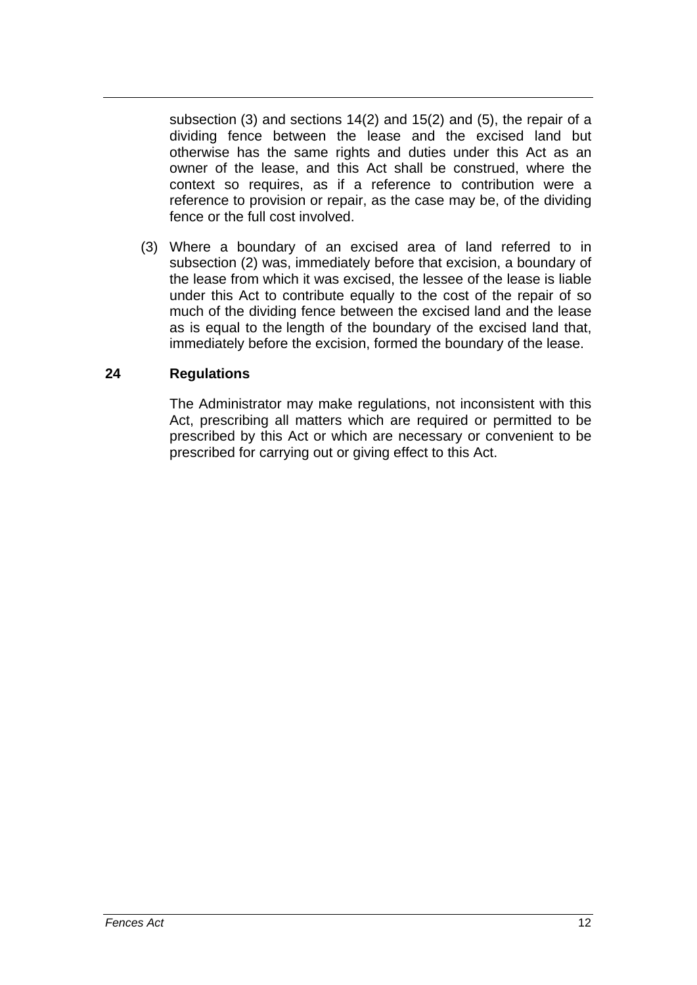subsection (3) and sections 14(2) and 15(2) and (5), the repair of a dividing fence between the lease and the excised land but otherwise has the same rights and duties under this Act as an owner of the lease, and this Act shall be construed, where the context so requires, as if a reference to contribution were a reference to provision or repair, as the case may be, of the dividing fence or the full cost involved.

 (3) Where a boundary of an excised area of land referred to in subsection (2) was, immediately before that excision, a boundary of the lease from which it was excised, the lessee of the lease is liable under this Act to contribute equally to the cost of the repair of so much of the dividing fence between the excised land and the lease as is equal to the length of the boundary of the excised land that, immediately before the excision, formed the boundary of the lease.

### <span id="page-12-0"></span>**24 Regulations**

The Administrator may make regulations, not inconsistent with this Act, prescribing all matters which are required or permitted to be prescribed by this Act or which are necessary or convenient to be prescribed for carrying out or giving effect to this Act.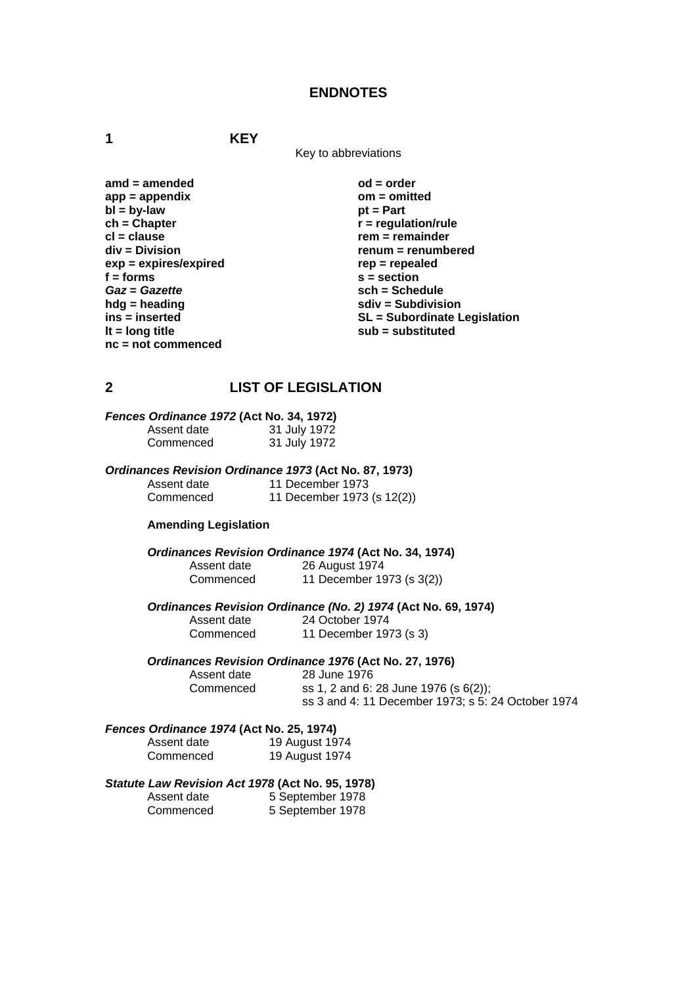#### **ENDNOTES**

**1 KEY**

Key to abbreviations

amd = amended od = order **app = appendix om = omitted bl** = by-law pt = Part ch = Chapter **produce**  $r = \text{regular}$ **cl = clause rem = remainder rem = remainder rem = remainder rem = remainder rem = remainder rem = remainder rem = remainder rem = rem = rem = rem = rem = rem = rem = rem = rem = rem = rem = rem = rem = rem = rem = rem = r**  $exp = expires/expired$ f = forms s = section<br>
Gaz = Gazette scheen sch = Scheen sch = Scheen sch = Scheen sch = Scheen sch = Scheen sch = Scheen scheen scheen scheen scheen scheen scheen scheen scheen scheen scheen scheen scheen scheen scheen sc *Gaz* = *Gazette*<br> **hda** = heading<br> **da** = heading<br> **da** = **schedule sch** = Subdivisi **lt = long title substituted sub = substituted nc = not commenced** 

 $r$  = regulation/rule **renum = renumbered<br>rep = repealed hdg = heading sdiv = Subdivision ins = inserted ins = inserted ins = inserted** 

#### **2 LIST OF LEGISLATION**

| Fences Ordinance 1972 (Act No. 34, 1972) |              |
|------------------------------------------|--------------|
| Assent date                              | 31 July 1972 |
| Commenced                                | 31 July 1972 |

*Ordinances Revision Ordinance 1973* **(Act No. 87, 1973)** 

Assent date 11 December 1973<br>Commenced 11 December 1973 11 December 1973 (s 12(2))

#### **Amending Legislation**

*Ordinances Revision Ordinance 1974* **(Act No. 34, 1974)**

Assent date 26 August 1974 Commenced 11 December 1973 (s 3(2))

*Ordinances Revision Ordinance (No. 2) 1974* **(Act No. 69, 1974)**

### Assent date 24 October 1974<br>Commenced 11 December 197 11 December 1973 (s 3)

#### *Ordinances Revision Ordinance 1976* **(Act No. 27, 1976)**

Assent date 28 June 1976<br>Commenced ss 1, 2 and 6: ss 1, 2 and 6: 28 June 1976 (s $6(2)$ ); ss 3 and 4: 11 December 1973; s 5: 24 October 1974

#### *Fences Ordinance 1974* **(Act No. 25, 1974)**

| Assent date | 19 August 1974 |
|-------------|----------------|
| Commenced   | 19 August 1974 |

#### *Statute Law Revision Act 1978* **(Act No. 95, 1978)**

Assent date 5 September 1978 Commenced 5 September 1978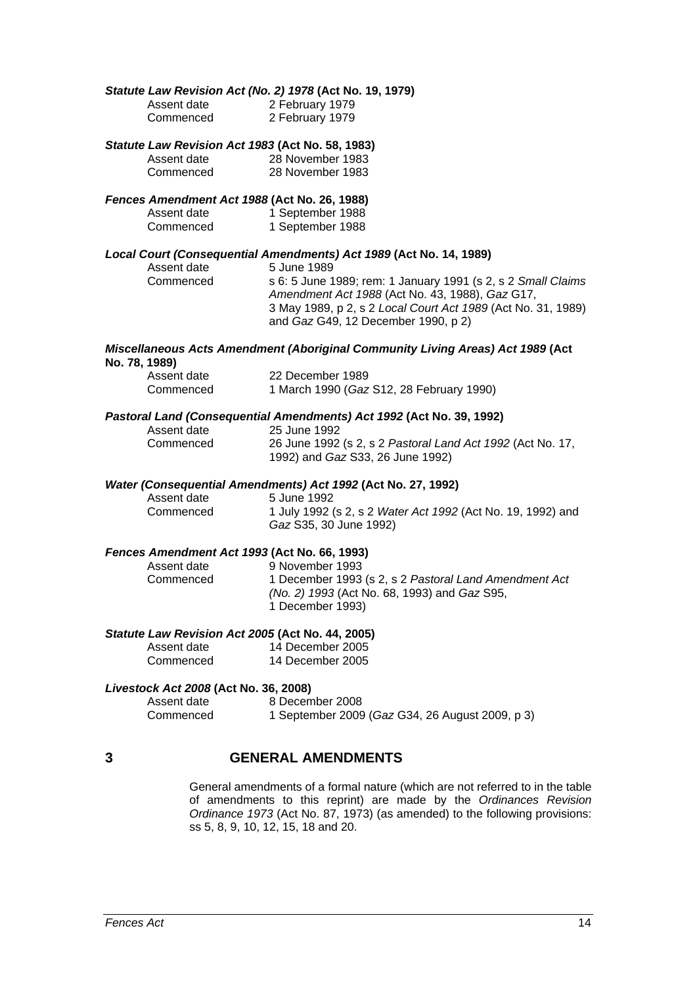|   |                                       | Statute Law Revision Act (No. 2) 1978 (Act No. 19, 1979)                                       |
|---|---------------------------------------|------------------------------------------------------------------------------------------------|
|   | Assent date                           | 2 February 1979                                                                                |
|   | Commenced                             | 2 February 1979                                                                                |
|   |                                       | Statute Law Revision Act 1983 (Act No. 58, 1983)                                               |
|   | Assent date                           | 28 November 1983                                                                               |
|   | Commenced                             | 28 November 1983                                                                               |
|   |                                       | Fences Amendment Act 1988 (Act No. 26, 1988)                                                   |
|   | Assent date                           | 1 September 1988                                                                               |
|   | Commenced                             | 1 September 1988                                                                               |
|   |                                       | Local Court (Consequential Amendments) Act 1989 (Act No. 14, 1989)                             |
|   | Assent date                           | 5 June 1989                                                                                    |
|   | Commenced                             | s 6: 5 June 1989; rem: 1 January 1991 (s 2, s 2 Small Claims                                   |
|   |                                       | Amendment Act 1988 (Act No. 43, 1988), Gaz G17,                                                |
|   |                                       | 3 May 1989, p 2, s 2 Local Court Act 1989 (Act No. 31, 1989)                                   |
|   |                                       | and Gaz G49, 12 December 1990, p 2)                                                            |
|   | No. 78, 1989)                         | <b>Miscellaneous Acts Amendment (Aboriginal Community Living Areas) Act 1989 (Act</b>          |
|   | Assent date                           | 22 December 1989                                                                               |
|   | Commenced                             | 1 March 1990 (Gaz S12, 28 February 1990)                                                       |
|   |                                       | Pastoral Land (Consequential Amendments) Act 1992 (Act No. 39, 1992)                           |
|   | Assent date                           | 25 June 1992                                                                                   |
|   | Commenced                             | 26 June 1992 (s 2, s 2 Pastoral Land Act 1992 (Act No. 17,<br>1992) and Gaz S33, 26 June 1992) |
|   |                                       | Water (Consequential Amendments) Act 1992 (Act No. 27, 1992)                                   |
|   | Assent date                           | 5 June 1992                                                                                    |
|   | Commenced                             | 1 July 1992 (s 2, s 2 Water Act 1992 (Act No. 19, 1992) and                                    |
|   |                                       | Gaz S35, 30 June 1992)                                                                         |
|   |                                       | Fences Amendment Act 1993 (Act No. 66, 1993)                                                   |
|   | Assent date                           | 9 November 1993                                                                                |
|   | Commenced                             | 1 December 1993 (s 2, s 2 Pastoral Land Amendment Act                                          |
|   |                                       | (No. 2) 1993 (Act No. 68, 1993) and Gaz S95,                                                   |
|   |                                       | 1 December 1993)                                                                               |
|   |                                       | Statute Law Revision Act 2005 (Act No. 44, 2005)                                               |
|   | Assent date                           | 14 December 2005                                                                               |
|   | Commenced                             | 14 December 2005                                                                               |
|   | Livestock Act 2008 (Act No. 36, 2008) |                                                                                                |
|   | Assent date                           | 8 December 2008                                                                                |
|   | Commenced                             | 1 September 2009 (Gaz G34, 26 August 2009, p 3)                                                |
| 3 |                                       | <b>GENERAL AMENDMENTS</b>                                                                      |
|   |                                       |                                                                                                |
|   |                                       | Coneral amondmente of a fermal poture (which are not referred to in the table                  |

General amendments of a formal nature (which are not referred to in the table of amendments to this reprint) are made by the *Ordinances Revision Ordinance 1973* (Act No. 87, 1973) (as amended) to the following provisions: ss 5, 8, 9, 10, 12, 15, 18 and 20.